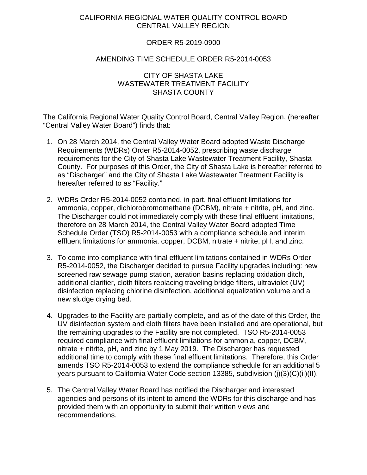# CALIFORNIA REGIONAL WATER QUALITY CONTROL BOARD CENTRAL VALLEY REGION

### ORDER R5-2019-0900

#### AMENDING TIME SCHEDULE ORDER R5-2014-0053

## CITY OF SHASTA LAKE WASTEWATER TREATMENT FACILITY SHASTA COUNTY

The California Regional Water Quality Control Board, Central Valley Region, (hereafter "Central Valley Water Board") finds that:

- 1. On 28 March 2014, the Central Valley Water Board adopted Waste Discharge Requirements (WDRs) Order R5-2014-0052, prescribing waste discharge requirements for the City of Shasta Lake Wastewater Treatment Facility, Shasta County. For purposes of this Order, the City of Shasta Lake is hereafter referred to as "Discharger" and the City of Shasta Lake Wastewater Treatment Facility is hereafter referred to as "Facility."
- 2. WDRs Order R5-2014-0052 contained, in part, final effluent limitations for ammonia, copper, dichlorobromomethane (DCBM), nitrate + nitrite, pH, and zinc. The Discharger could not immediately comply with these final effluent limitations, therefore on 28 March 2014, the Central Valley Water Board adopted Time Schedule Order (TSO) R5-2014-0053 with a compliance schedule and interim effluent limitations for ammonia, copper, DCBM, nitrate + nitrite, pH, and zinc.
- 3. To come into compliance with final effluent limitations contained in WDRs Order R5-2014-0052, the Discharger decided to pursue Facility upgrades including: new screened raw sewage pump station, aeration basins replacing oxidation ditch, additional clarifier, cloth filters replacing traveling bridge filters, ultraviolet (UV) disinfection replacing chlorine disinfection, additional equalization volume and a new sludge drying bed.
- 4. Upgrades to the Facility are partially complete, and as of the date of this Order, the UV disinfection system and cloth filters have been installed and are operational, but the remaining upgrades to the Facility are not completed. TSO R5-2014-0053 required compliance with final effluent limitations for ammonia, copper, DCBM, nitrate + nitrite, pH, and zinc by 1 May 2019. The Discharger has requested additional time to comply with these final effluent limitations. Therefore, this Order amends TSO R5-2014-0053 to extend the compliance schedule for an additional 5 years pursuant to California Water Code section 13385, subdivision (j)(3)(C)(ii)(II).
- 5. The Central Valley Water Board has notified the Discharger and interested agencies and persons of its intent to amend the WDRs for this discharge and has provided them with an opportunity to submit their written views and recommendations.